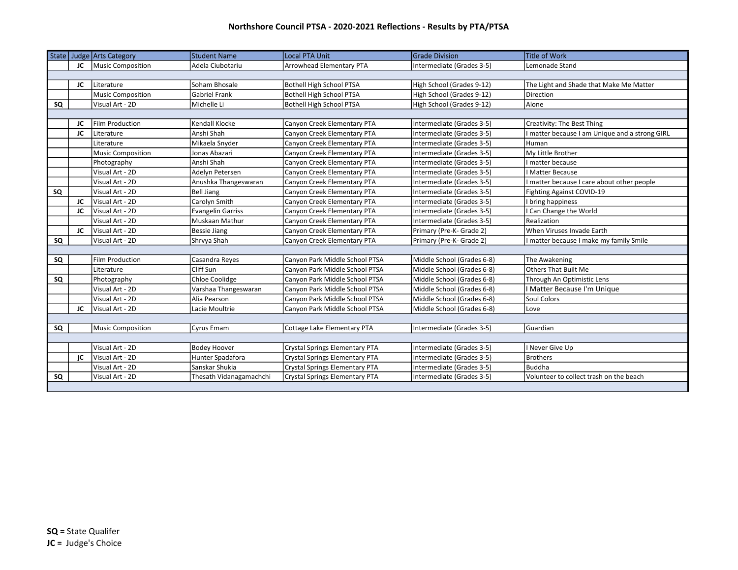| State |    | Judge Arts Category      | <b>Student Name</b>      | <b>Local PTA Unit</b>                 | <b>Grade Division</b>      | <b>Title of Work</b>                           |
|-------|----|--------------------------|--------------------------|---------------------------------------|----------------------------|------------------------------------------------|
|       | JC | Music Composition        | Adela Ciubotariu         | Arrowhead Elementary PTA              | Intermediate (Grades 3-5)  | Lemonade Stand                                 |
|       |    |                          |                          |                                       |                            |                                                |
|       | JC | Literature               | Soham Bhosale            | Bothell High School PTSA              | High School (Grades 9-12)  | The Light and Shade that Make Me Matter        |
|       |    | <b>Music Composition</b> | <b>Gabriel Frank</b>     | Bothell High School PTSA              | High School (Grades 9-12)  | <b>Direction</b>                               |
| SQ    |    | Visual Art - 2D          | Michelle Li              | Bothell High School PTSA              | High School (Grades 9-12)  | Alone                                          |
|       |    |                          |                          |                                       |                            |                                                |
|       | JC | <b>Film Production</b>   | Kendall Klocke           | Canyon Creek Elementary PTA           | Intermediate (Grades 3-5)  | Creativity: The Best Thing                     |
|       | JC | <b>I</b> Literature      | Anshi Shah               | Canyon Creek Elementary PTA           | Intermediate (Grades 3-5)  | I matter because I am Unique and a strong GIRL |
|       |    | Literature               | Mikaela Snyder           | Canyon Creek Elementary PTA           | Intermediate (Grades 3-5)  | Human                                          |
|       |    | Music Composition        | Jonas Abazari            | Canyon Creek Elementary PTA           | Intermediate (Grades 3-5)  | My Little Brother                              |
|       |    | Photography              | Anshi Shah               | Canyon Creek Elementary PTA           | Intermediate (Grades 3-5)  | I matter because                               |
|       |    | Visual Art - 2D          | Adelyn Petersen          | Canyon Creek Elementary PTA           | Intermediate (Grades 3-5)  | <b>I Matter Because</b>                        |
|       |    | Visual Art - 2D          | Anushka Thangeswaran     | Canyon Creek Elementary PTA           | Intermediate (Grades 3-5)  | I matter because I care about other people     |
| SQ    |    | Visual Art - 2D          | <b>Bell Jiang</b>        | Canyon Creek Elementary PTA           | Intermediate (Grades 3-5)  | Fighting Against COVID-19                      |
|       | JC | Visual Art - 2D          | Carolyn Smith            | Canyon Creek Elementary PTA           | Intermediate (Grades 3-5)  | I bring happiness                              |
|       | JC | Visual Art - 2D          | <b>Evangelin Garriss</b> | Canyon Creek Elementary PTA           | Intermediate (Grades 3-5)  | I Can Change the World                         |
|       |    | Visual Art - 2D          | Muskaan Mathur           | Canyon Creek Elementary PTA           | Intermediate (Grades 3-5)  | Realization                                    |
|       | JC | Visual Art - 2D          | <b>Bessie Jiang</b>      | Canyon Creek Elementary PTA           | Primary (Pre-K- Grade 2)   | When Viruses Invade Earth                      |
| SQ    |    | Visual Art - 2D          | Shrvya Shah              | Canyon Creek Elementary PTA           | Primary (Pre-K- Grade 2)   | I matter because I make my family Smile        |
|       |    |                          |                          |                                       |                            |                                                |
| SQ    |    | <b>Film Production</b>   | Casandra Reyes           | Canyon Park Middle School PTSA        | Middle School (Grades 6-8) | The Awakening                                  |
|       |    | <b>l</b> Literature      | Cliff Sun                | Canyon Park Middle School PTSA        | Middle School (Grades 6-8) | <b>Others That Built Me</b>                    |
| SQ    |    | Photography              | Chloe Coolidge           | Canyon Park Middle School PTSA        | Middle School (Grades 6-8) | Through An Optimistic Lens                     |
|       |    | Visual Art - 2D          | Varshaa Thangeswaran     | Canyon Park Middle School PTSA        | Middle School (Grades 6-8) | I Matter Because I'm Unique                    |
|       |    | Visual Art - 2D          | Alia Pearson             | Canyon Park Middle School PTSA        | Middle School (Grades 6-8) | Soul Colors                                    |
|       | JC | Visual Art - 2D          | Lacie Moultrie           | Canyon Park Middle School PTSA        | Middle School (Grades 6-8) | Love                                           |
|       |    |                          |                          |                                       |                            |                                                |
| SQ    |    | Music Composition        | Cyrus Emam               | Cottage Lake Elementary PTA           | Intermediate (Grades 3-5)  | Guardian                                       |
|       |    |                          |                          |                                       |                            |                                                |
|       |    | Visual Art - 2D          | <b>Bodey Hoover</b>      | Crystal Springs Elementary PTA        | Intermediate (Grades 3-5)  | I Never Give Up                                |
|       | jC | Visual Art - 2D          | Hunter Spadafora         | <b>Crystal Springs Elementary PTA</b> | Intermediate (Grades 3-5)  | <b>Brothers</b>                                |
|       |    | Visual Art - 2D          | Sanskar Shukia           | Crystal Springs Elementary PTA        | Intermediate (Grades 3-5)  | <b>Buddha</b>                                  |
| SQ    |    | Visual Art - 2D          | Thesath Vidanagamachchi  | Crystal Springs Elementary PTA        | Intermediate (Grades 3-5)  | Volunteer to collect trash on the beach        |
|       |    |                          |                          |                                       |                            |                                                |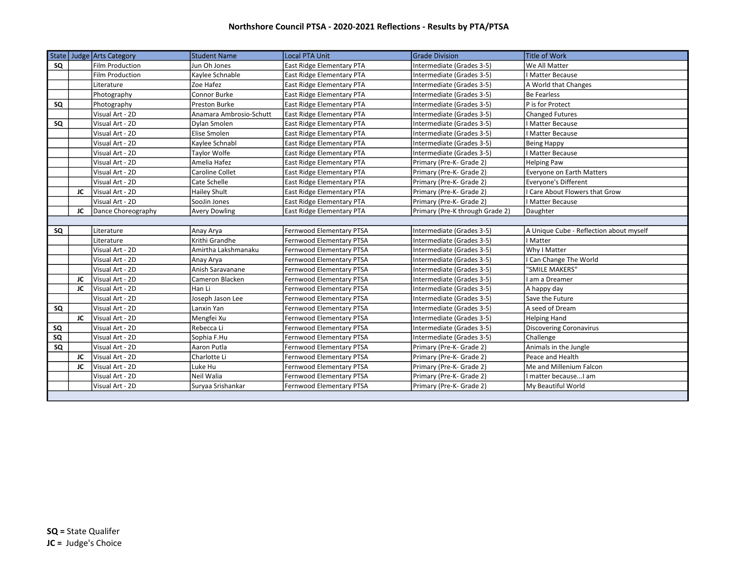|    |    | State Judge Arts Category | <b>Student Name</b>     | Local PTA Unit                   | <b>Grade Division</b>           | <b>Title of Work</b>                    |
|----|----|---------------------------|-------------------------|----------------------------------|---------------------------------|-----------------------------------------|
| SQ |    | Film Production           | Jun Oh Jones            | <b>East Ridge Elementary PTA</b> | Intermediate (Grades 3-5)       | We All Matter                           |
|    |    | <b>Film Production</b>    | Kaylee Schnable         | <b>East Ridge Elementary PTA</b> | Intermediate (Grades 3-5)       | I Matter Because                        |
|    |    | Literature                | Zoe Hafez               | <b>East Ridge Elementary PTA</b> | Intermediate (Grades 3-5)       | A World that Changes                    |
|    |    | Photography               | Connor Burke            | <b>East Ridge Elementary PTA</b> | Intermediate (Grades 3-5)       | <b>Be Fearless</b>                      |
| SQ |    | Photography               | <b>Preston Burke</b>    | <b>East Ridge Elementary PTA</b> | Intermediate (Grades 3-5)       | P is for Protect                        |
|    |    | Visual Art - 2D           | Anamara Ambrosio-Schutt | <b>East Ridge Elementary PTA</b> | Intermediate (Grades 3-5)       | <b>Changed Futures</b>                  |
| SQ |    | Visual Art - 2D           | Dylan Smolen            | <b>East Ridge Elementary PTA</b> | Intermediate (Grades 3-5)       | I Matter Because                        |
|    |    | Visual Art - 2D           | Elise Smolen            | East Ridge Elementary PTA        | Intermediate (Grades 3-5)       | I Matter Because                        |
|    |    | Visual Art - 2D           | Kaylee Schnabl          | <b>East Ridge Elementary PTA</b> | Intermediate (Grades 3-5)       | <b>Being Happy</b>                      |
|    |    | Visual Art - 2D           | Taylor Wolfe            | <b>East Ridge Elementary PTA</b> | Intermediate (Grades 3-5)       | I Matter Because                        |
|    |    | Visual Art - 2D           | Amelia Hafez            | <b>East Ridge Elementary PTA</b> | Primary (Pre-K- Grade 2)        | <b>Helping Paw</b>                      |
|    |    | Visual Art - 2D           | Caroline Collet         | East Ridge Elementary PTA        | Primary (Pre-K- Grade 2)        | Everyone on Earth Matters               |
|    |    | Visual Art - 2D           | Cate Schelle            | <b>East Ridge Elementary PTA</b> | Primary (Pre-K- Grade 2)        | <b>Everyone's Different</b>             |
|    | JC | Visual Art - 2D           | Hailey Shult            | <b>East Ridge Elementary PTA</b> | Primary (Pre-K- Grade 2)        | I Care About Flowers that Grow          |
|    |    | Visual Art - 2D           | SooJin Jones            | <b>East Ridge Elementary PTA</b> | Primary (Pre-K- Grade 2)        | I Matter Because                        |
|    | JC | Dance Choreography        | <b>Avery Dowling</b>    | <b>East Ridge Elementary PTA</b> | Primary (Pre-K through Grade 2) | Daughter                                |
|    |    |                           |                         |                                  |                                 |                                         |
| SQ |    | Literature                | Anay Arya               | Fernwood Elementary PTSA         | Intermediate (Grades 3-5)       | A Unique Cube - Reflection about myself |
|    |    | Literature                | Krithi Grandhe          | Fernwood Elementary PTSA         | Intermediate (Grades 3-5)       | I Matter                                |
|    |    | Visual Art - 2D           | Amirtha Lakshmanaku     | Fernwood Elementary PTSA         | Intermediate (Grades 3-5)       | Why I Matter                            |
|    |    | Visual Art - 2D           | Anay Arya               | Fernwood Elementary PTSA         | Intermediate (Grades 3-5)       | I Can Change The World                  |
|    |    | Visual Art - 2D           | Anish Saravanane        | Fernwood Elementary PTSA         | Intermediate (Grades 3-5)       | "SMILE MAKERS"                          |
|    | JC | Visual Art - 2D           | Cameron Blacken         | Fernwood Elementary PTSA         | Intermediate (Grades 3-5)       | I am a Dreamer                          |
|    | JC | Visual Art - 2D           | Han Li                  | Fernwood Elementary PTSA         | Intermediate (Grades 3-5)       | A happy day                             |
|    |    | Visual Art - 2D           | Joseph Jason Lee        | Fernwood Elementary PTSA         | Intermediate (Grades 3-5)       | Save the Future                         |
| SQ |    | Visual Art - 2D           | Lanxin Yan              | Fernwood Elementary PTSA         | Intermediate (Grades 3-5)       | A seed of Dream                         |
|    | JC | Visual Art - 2D           | Mengfei Xu              | Fernwood Elementary PTSA         | Intermediate (Grades 3-5)       | <b>Helping Hand</b>                     |
| SQ |    | Visual Art - 2D           | Rebecca Li              | Fernwood Elementary PTSA         | Intermediate (Grades 3-5)       | <b>Discovering Coronavirus</b>          |
| SQ |    | Visual Art - 2D           | Sophia F.Hu             | Fernwood Elementary PTSA         | Intermediate (Grades 3-5)       | Challenge                               |
| SQ |    | Visual Art - 2D           | Aaron Putla             | Fernwood Elementary PTSA         | Primary (Pre-K- Grade 2)        | Animals in the Jungle                   |
|    | JC | Visual Art - 2D           | Charlotte Li            | Fernwood Elementary PTSA         | Primary (Pre-K- Grade 2)        | Peace and Health                        |
|    | JC | Visual Art - 2D           | Luke Hu                 | Fernwood Elementary PTSA         | Primary (Pre-K- Grade 2)        | Me and Millenium Falcon                 |
|    |    | Visual Art - 2D           | Neil Walia              | Fernwood Elementary PTSA         | Primary (Pre-K- Grade 2)        | I matter because I am                   |
|    |    | Visual Art - 2D           | Suryaa Srishankar       | Fernwood Elementary PTSA         | Primary (Pre-K- Grade 2)        | My Beautiful World                      |
|    |    |                           |                         |                                  |                                 |                                         |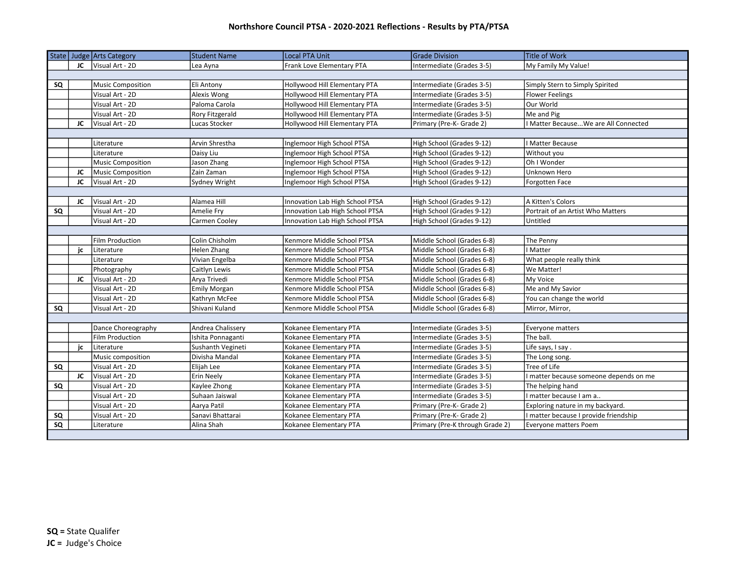|           |    | State   Judge   Arts Category | <b>Student Name</b> | Local PTA Unit                  | <b>Grade Division</b>           | <b>Title of Work</b>                   |
|-----------|----|-------------------------------|---------------------|---------------------------------|---------------------------------|----------------------------------------|
|           | JC | Visual Art - 2D               | Lea Ayna            | Frank Love Elementary PTA       | Intermediate (Grades 3-5)       | My Family My Value!                    |
|           |    |                               |                     |                                 |                                 |                                        |
| SQ        |    | Music Composition             | Eli Antony          | Hollywood Hill Elementary PTA   | Intermediate (Grades 3-5)       | Simply Stern to Simply Spirited        |
|           |    | Visual Art - 2D               | Alexis Wong         | Hollywood Hill Elementary PTA   | Intermediate (Grades 3-5)       | <b>Flower Feelings</b>                 |
|           |    | Visual Art - 2D               | Paloma Carola       | Hollywood Hill Elementary PTA   | Intermediate (Grades 3-5)       | Our World                              |
|           |    | Visual Art - 2D               | Rory Fitzgerald     | Hollywood Hill Elementary PTA   | Intermediate (Grades 3-5)       | Me and Pig                             |
|           | JC | Visual Art - 2D               | Lucas Stocker       | Hollywood Hill Elementary PTA   | Primary (Pre-K- Grade 2)        | I Matter BecauseWe are All Connected   |
|           |    |                               |                     |                                 |                                 |                                        |
|           |    | Literature                    | Arvin Shrestha      | Inglemoor High School PTSA      | High School (Grades 9-12)       | I Matter Because                       |
|           |    | Literature                    | Daisy Liu           | Inglemoor High School PTSA      | High School (Grades 9-12)       | Without you                            |
|           |    | Music Composition             | Jason Zhang         | Inglemoor High School PTSA      | High School (Grades 9-12)       | Oh I Wonder                            |
|           | JC | Music Composition             | Zain Zaman          | Inglemoor High School PTSA      | High School (Grades 9-12)       | Unknown Hero                           |
|           | JC | Visual Art - 2D               | Sydney Wright       | Inglemoor High School PTSA      | High School (Grades 9-12)       | Forgotten Face                         |
|           |    |                               |                     |                                 |                                 |                                        |
|           | JC | Visual Art - 2D               | Alamea Hill         | Innovation Lab High School PTSA | High School (Grades 9-12)       | A Kitten's Colors                      |
| SQ        |    | Visual Art - 2D               | Amelie Fry          | Innovation Lab High School PTSA | High School (Grades 9-12)       | Portrait of an Artist Who Matters      |
|           |    | Visual Art - 2D               | Carmen Cooley       | Innovation Lab High School PTSA | High School (Grades 9-12)       | Untitled                               |
|           |    |                               |                     |                                 |                                 |                                        |
|           |    | Film Production               | Colin Chisholm      | Kenmore Middle School PTSA      | Middle School (Grades 6-8)      | The Penny                              |
|           | jc | Literature                    | Helen Zhang         | Kenmore Middle School PTSA      | Middle School (Grades 6-8)      | I Matter                               |
|           |    | Literature                    | Vivian Engelba      | Kenmore Middle School PTSA      | Middle School (Grades 6-8)      | What people really think               |
|           |    | Photography                   | Caitlyn Lewis       | Kenmore Middle School PTSA      | Middle School (Grades 6-8)      | We Matter!                             |
|           | JC | Visual Art - 2D               | Arya Trivedi        | Kenmore Middle School PTSA      | Middle School (Grades 6-8)      | My Voice                               |
|           |    | Visual Art - 2D               | Emily Morgan        | Kenmore Middle School PTSA      | Middle School (Grades 6-8)      | Me and My Savior                       |
|           |    | Visual Art - 2D               | Kathryn McFee       | Kenmore Middle School PTSA      | Middle School (Grades 6-8)      | You can change the world               |
| SQ        |    | Visual Art - 2D               | Shivani Kuland      | Kenmore Middle School PTSA      | Middle School (Grades 6-8)      | Mirror, Mirror,                        |
|           |    |                               |                     |                                 |                                 |                                        |
|           |    | Dance Choreography            | Andrea Chalissery   | Kokanee Elementary PTA          | Intermediate (Grades 3-5)       | Everyone matters                       |
|           |    | Film Production               | Ishita Ponnaganti   | Kokanee Elementary PTA          | Intermediate (Grades 3-5)       | The ball.                              |
|           | jc | Literature                    | Sushanth Vegineti   | Kokanee Elementary PTA          | Intermediate (Grades 3-5)       | Life says, I say.                      |
|           |    | Music composition             | Divisha Mandal      | Kokanee Elementary PTA          | Intermediate (Grades 3-5)       | The Long song.                         |
| SQ        |    | Visual Art - 2D               | Elijah Lee          | Kokanee Elementary PTA          | Intermediate (Grades 3-5)       | Tree of Life                           |
|           | JC | Visual Art - 2D               | Erin Neely          | Kokanee Elementary PTA          | Intermediate (Grades 3-5)       | I matter because someone depends on me |
| SQ        |    | Visual Art - 2D               | Kaylee Zhong        | Kokanee Elementary PTA          | Intermediate (Grades 3-5)       | The helping hand                       |
|           |    | Visual Art - 2D               | Suhaan Jaiswal      | Kokanee Elementary PTA          | Intermediate (Grades 3-5)       | I matter because I am a                |
|           |    | Visual Art - 2D               | Aarya Patil         | Kokanee Elementary PTA          | Primary (Pre-K- Grade 2)        | Exploring nature in my backyard.       |
| SQ        |    | Visual Art - 2D               | Sanavi Bhattarai    | Kokanee Elementary PTA          | Primary (Pre-K- Grade 2)        | I matter because I provide friendship  |
| $\sf{SQ}$ |    | Literature                    | Alina Shah          | Kokanee Elementary PTA          | Primary (Pre-K through Grade 2) | <b>Everyone matters Poem</b>           |
|           |    |                               |                     |                                 |                                 |                                        |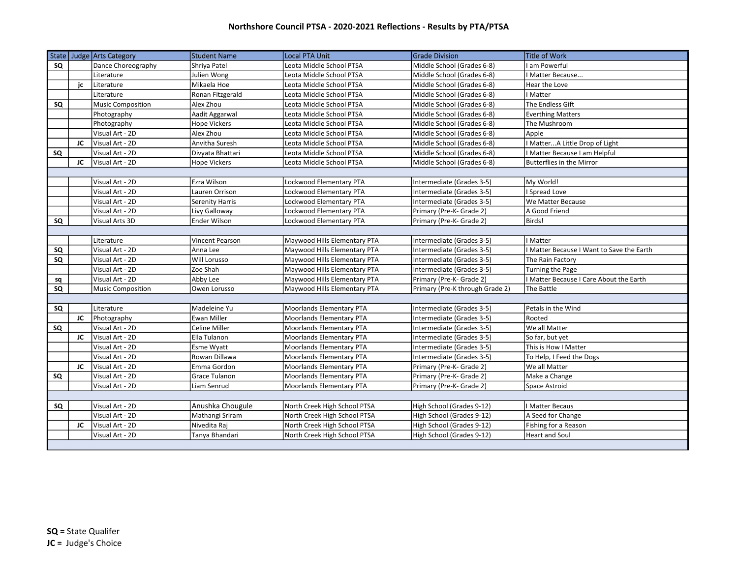|    |    | State   Judge   Arts Category | <b>Student Name</b> | <b>Local PTA Unit</b>           | <b>Grade Division</b>           | Title of Work                             |
|----|----|-------------------------------|---------------------|---------------------------------|---------------------------------|-------------------------------------------|
| SQ |    | Dance Choreography            | Shriya Patel        | Leota Middle School PTSA        | Middle School (Grades 6-8)      | I am Powerful                             |
|    |    | Literature                    | Julien Wong         | Leota Middle School PTSA        | Middle School (Grades 6-8)      | <b>I Matter Because</b>                   |
|    | jc | Literature                    | Mikaela Hoe         | Leota Middle School PTSA        | Middle School (Grades 6-8)      | Hear the Love                             |
|    |    | Literature                    | Ronan Fitzgerald    | Leota Middle School PTSA        | Middle School (Grades 6-8)      | I Matter                                  |
| SQ |    | Music Composition             | Alex Zhou           | Leota Middle School PTSA        | Middle School (Grades 6-8)      | The Endless Gift                          |
|    |    | Photography                   | Aadit Aggarwal      | Leota Middle School PTSA        | Middle School (Grades 6-8)      | <b>Everthing Matters</b>                  |
|    |    | Photography                   | <b>Hope Vickers</b> | Leota Middle School PTSA        | Middle School (Grades 6-8)      | The Mushroom                              |
|    |    | Visual Art - 2D               | Alex Zhou           | Leota Middle School PTSA        | Middle School (Grades 6-8)      | Apple                                     |
|    | JC | Visual Art - 2D               | Anvitha Suresh      | Leota Middle School PTSA        | Middle School (Grades 6-8)      | I MatterA Little Drop of Light            |
| SQ |    | Visual Art - 2D               | Divyata Bhattari    | Leota Middle School PTSA        | Middle School (Grades 6-8)      | I Matter Because I am Helpful             |
|    | JC | Visual Art - 2D               | <b>Hope Vickers</b> | Leota Middle School PTSA        | Middle School (Grades 6-8)      | <b>Butterflies in the Mirror</b>          |
|    |    |                               |                     |                                 |                                 |                                           |
|    |    | Visual Art - 2D               | Ezra Wilson         | Lockwood Elementary PTA         | Intermediate (Grades 3-5)       | My World!                                 |
|    |    | Visual Art - 2D               | Lauren Orrison      | Lockwood Elementary PTA         | Intermediate (Grades 3-5)       | <b>Spread Love</b>                        |
|    |    | Visual Art - 2D               | Serenity Harris     | Lockwood Elementary PTA         | Intermediate (Grades 3-5)       | We Matter Because                         |
|    |    | Visual Art - 2D               | Livy Galloway       | Lockwood Elementary PTA         | Primary (Pre-K- Grade 2)        | A Good Friend                             |
| SQ |    | Visual Arts 3D                | <b>Ender Wilson</b> | Lockwood Elementary PTA         | Primary (Pre-K- Grade 2)        | Birds!                                    |
|    |    |                               |                     |                                 |                                 |                                           |
|    |    | Literature                    | Vincent Pearson     | Maywood Hills Elementary PTA    | Intermediate (Grades 3-5)       | I Matter                                  |
| SQ |    | Visual Art - 2D               | Anna Lee            | Maywood Hills Elementary PTA    | Intermediate (Grades 3-5)       | I Matter Because I Want to Save the Earth |
| SQ |    | Visual Art - 2D               | Will Lorusso        | Maywood Hills Elementary PTA    | Intermediate (Grades 3-5)       | The Rain Factory                          |
|    |    | Visual Art - 2D               | Zoe Shah            | Maywood Hills Elementary PTA    | Intermediate (Grades 3-5)       | <b>Turning the Page</b>                   |
| sq |    | Visual Art - 2D               | Abby Lee            | Maywood Hills Elementary PTA    | Primary (Pre-K- Grade 2)        | I Matter Because I Care About the Earth   |
| SQ |    | Music Composition             | Owen Lorusso        | Maywood Hills Elementary PTA    | Primary (Pre-K through Grade 2) | The Battle                                |
|    |    |                               |                     |                                 |                                 |                                           |
| SQ |    | Literature                    | Madeleine Yu        | Moorlands Elementary PTA        | Intermediate (Grades 3-5)       | Petals in the Wind                        |
|    | JC | Photography                   | Ewan Miller         | Moorlands Elementary PTA        | Intermediate (Grades 3-5)       | Rooted                                    |
| SQ |    | Visual Art - 2D               | Celine Miller       | Moorlands Elementary PTA        | Intermediate (Grades 3-5)       | We all Matter                             |
|    | JC | Visual Art - 2D               | Ella Tulanon        | Moorlands Elementary PTA        | Intermediate (Grades 3-5)       | So far, but yet                           |
|    |    | Visual Art - 2D               | Esme Wyatt          | Moorlands Elementary PTA        | Intermediate (Grades 3-5)       | This is How I Matter                      |
|    |    | Visual Art - 2D               | Rowan Dillawa       | <b>Moorlands Elementary PTA</b> | Intermediate (Grades 3-5)       | To Help, I Feed the Dogs                  |
|    | JC | Visual Art - 2D               | Emma Gordon         | Moorlands Elementary PTA        | Primary (Pre-K- Grade 2)        | We all Matter                             |
| SQ |    | Visual Art - 2D               | Grace Tulanon       | Moorlands Elementary PTA        | Primary (Pre-K- Grade 2)        | Make a Change                             |
|    |    | Visual Art - 2D               | Liam Senrud         | Moorlands Elementary PTA        | Primary (Pre-K- Grade 2)        | Space Astroid                             |
|    |    |                               |                     |                                 |                                 |                                           |
| SQ |    | Visual Art - 2D               | Anushka Chougule    | North Creek High School PTSA    | High School (Grades 9-12)       | I Matter Becaus                           |
|    |    | Visual Art - 2D               | Mathangi Sriram     | North Creek High School PTSA    | High School (Grades 9-12)       | A Seed for Change                         |
|    | JC | Visual Art - 2D               | Nivedita Raj        | North Creek High School PTSA    | High School (Grades 9-12)       | Fishing for a Reason                      |
|    |    | Visual Art - 2D               | Tanya Bhandari      | North Creek High School PTSA    | High School (Grades 9-12)       | <b>Heart and Soul</b>                     |
|    |    |                               |                     |                                 |                                 |                                           |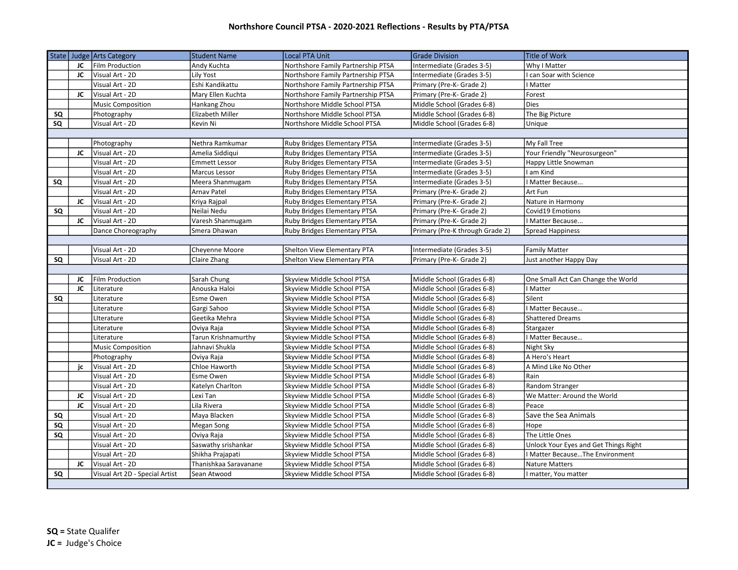|    |    | State Judge Arts Category          | <b>Student Name</b>                     | <b>Local PTA Unit</b>                                    | <b>Grade Division</b>                                    | Title of Work                                                          |
|----|----|------------------------------------|-----------------------------------------|----------------------------------------------------------|----------------------------------------------------------|------------------------------------------------------------------------|
|    | JC | Film Production                    | Andy Kuchta                             | Northshore Family Partnership PTSA                       | Intermediate (Grades 3-5)                                | Why I Matter                                                           |
|    | JC | Visual Art - 2D                    | Lily Yost                               | Northshore Family Partnership PTSA                       | Intermediate (Grades 3-5)                                | I can Soar with Science                                                |
|    |    | Visual Art - 2D                    | Eshi Kandikattu                         | Northshore Family Partnership PTSA                       | Primary (Pre-K- Grade 2)                                 | I Matter                                                               |
|    | JC | Visual Art - 2D                    | Mary Ellen Kuchta                       | Northshore Family Partnership PTSA                       | Primary (Pre-K- Grade 2)                                 | Forest                                                                 |
|    |    | <b>Music Composition</b>           | Hankang Zhou                            | Northshore Middle School PTSA                            | Middle School (Grades 6-8)                               | Dies                                                                   |
| SQ |    | Photography                        | Elizabeth Miller                        | Northshore Middle School PTSA                            | Middle School (Grades 6-8)                               | The Big Picture                                                        |
| SQ |    | Visual Art - 2D                    | Kevin Ni                                | Northshore Middle School PTSA                            | Middle School (Grades 6-8)                               | Unique                                                                 |
|    |    |                                    |                                         |                                                          |                                                          |                                                                        |
|    |    | Photography                        | Nethra Ramkumar                         | Ruby Bridges Elementary PTSA                             | Intermediate (Grades 3-5)                                | My Fall Tree                                                           |
|    | JC | Visual Art - 2D                    | Amelia Siddiqui                         | Ruby Bridges Elementary PTSA                             | Intermediate (Grades 3-5)                                | Your Friendly "Neurosurgeon"                                           |
|    |    | Visual Art - 2D                    | <b>Emmett Lessor</b>                    | Ruby Bridges Elementary PTSA                             | Intermediate (Grades 3-5)                                | Happy Little Snowman                                                   |
|    |    | Visual Art - 2D                    | Marcus Lessor                           | Ruby Bridges Elementary PTSA                             | Intermediate (Grades 3-5)                                | I am Kind                                                              |
| SQ |    | Visual Art - 2D                    | Meera Shanmugam                         | Ruby Bridges Elementary PTSA                             | Intermediate (Grades 3-5)                                | Matter Because                                                         |
|    |    | Visual Art - 2D                    | Arnav Patel                             | Ruby Bridges Elementary PTSA                             | Primary (Pre-K- Grade 2)                                 | Art Fun                                                                |
|    | JC | Visual Art - 2D                    | Kriya Rajpal                            | Ruby Bridges Elementary PTSA                             | Primary (Pre-K- Grade 2)                                 | Nature in Harmony                                                      |
| SQ |    | Visual Art - 2D                    | Neilai Nedu                             | Ruby Bridges Elementary PTSA                             | Primary (Pre-K- Grade 2)                                 | Covid19 Emotions                                                       |
|    | JC | Visual Art - 2D                    | Varesh Shanmugam                        | Ruby Bridges Elementary PTSA                             | Primary (Pre-K- Grade 2)                                 | I Matter Because                                                       |
|    |    | Dance Choreography                 | Smera Dhawan                            | Ruby Bridges Elementary PTSA                             | Primary (Pre-K through Grade 2)                          | <b>Spread Happiness</b>                                                |
|    |    |                                    |                                         |                                                          |                                                          |                                                                        |
|    |    | Visual Art - 2D                    | Cheyenne Moore                          | Shelton View Elementary PTA                              | Intermediate (Grades 3-5)                                | <b>Family Matter</b>                                                   |
| SQ |    | Visual Art - 2D                    | Claire Zhang                            | Shelton View Elementary PTA                              | Primary (Pre-K- Grade 2)                                 | Just another Happy Day                                                 |
|    |    |                                    |                                         |                                                          |                                                          |                                                                        |
|    | JC | Film Production                    | Sarah Chung                             | Skyview Middle School PTSA                               | Middle School (Grades 6-8)                               | One Small Act Can Change the World                                     |
|    | JC | Literature                         | Anouska Haloi                           | Skyview Middle School PTSA                               | Middle School (Grades 6-8)                               | I Matter                                                               |
| SQ |    | Literature                         | Esme Owen                               | Skyview Middle School PTSA                               | Middle School (Grades 6-8)                               | Silent                                                                 |
|    |    | Literature                         | Gargi Sahoo                             | Skyview Middle School PTSA                               | Middle School (Grades 6-8)                               | I Matter Because                                                       |
|    |    | Literature                         | Geetika Mehra                           | Skyview Middle School PTSA                               | Middle School (Grades 6-8)                               | <b>Shattered Dreams</b>                                                |
|    |    | Literature                         | Oviya Raja                              | Skyview Middle School PTSA                               | Middle School (Grades 6-8)                               | Stargazer                                                              |
|    |    | Literature                         | Tarun Krishnamurthy                     | Skyview Middle School PTSA                               | Middle School (Grades 6-8)                               | <b>I Matter Because</b>                                                |
|    |    | <b>Music Composition</b>           | Jahnavi Shukla                          | Skyview Middle School PTSA                               | Middle School (Grades 6-8)                               | Night Sky                                                              |
|    |    | Photography                        | Oviya Raja                              | Skyview Middle School PTSA                               | Middle School (Grades 6-8)                               | A Hero's Heart                                                         |
|    | ic | Visual Art - 2D                    | Chloe Haworth                           | Skyview Middle School PTSA                               | Middle School (Grades 6-8)                               | A Mind Like No Other                                                   |
|    |    | Visual Art - 2D                    | Esme Owen                               | Skyview Middle School PTSA                               | Middle School (Grades 6-8)                               | Rain                                                                   |
|    | JC | Visual Art - 2D                    | Katelyn Charlton<br>Lexi Tan            | Skyview Middle School PTSA                               | Middle School (Grades 6-8)                               | Random Stranger<br>We Matter: Around the World                         |
|    | JC | Visual Art - 2D<br>Visual Art - 2D | Lila Rivera                             | Skyview Middle School PTSA<br>Skyview Middle School PTSA | Middle School (Grades 6-8)<br>Middle School (Grades 6-8) | Peace                                                                  |
|    |    |                                    |                                         |                                                          |                                                          |                                                                        |
| SQ |    | Visual Art - 2D                    | Maya Blacken                            | Skyview Middle School PTSA                               | Middle School (Grades 6-8)                               | Save the Sea Animals                                                   |
| SQ |    | Visual Art - 2D                    | <b>Megan Song</b>                       | Skyview Middle School PTSA                               | Middle School (Grades 6-8)                               | Hope                                                                   |
| SQ |    | Visual Art - 2D                    | Oviya Raja                              | Skyview Middle School PTSA                               | Middle School (Grades 6-8)                               | The Little Ones                                                        |
|    |    | Visual Art - 2D<br>Visual Art - 2D | Saswathy srishankar<br>Shikha Prajapati | Skyview Middle School PTSA<br>Skyview Middle School PTSA | Middle School (Grades 6-8)<br>Middle School (Grades 6-8) | Unlock Your Eyes and Get Things Right<br>Matter BecauseThe Environment |
|    | JC | Visual Art - 2D                    | Thanishkaa Saravanane                   | Skyview Middle School PTSA                               | Middle School (Grades 6-8)                               | <b>Nature Matters</b>                                                  |
| SQ |    | Visual Art 2D - Special Artist     | Sean Atwood                             | Skyview Middle School PTSA                               | Middle School (Grades 6-8)                               | I matter, You matter                                                   |
|    |    |                                    |                                         |                                                          |                                                          |                                                                        |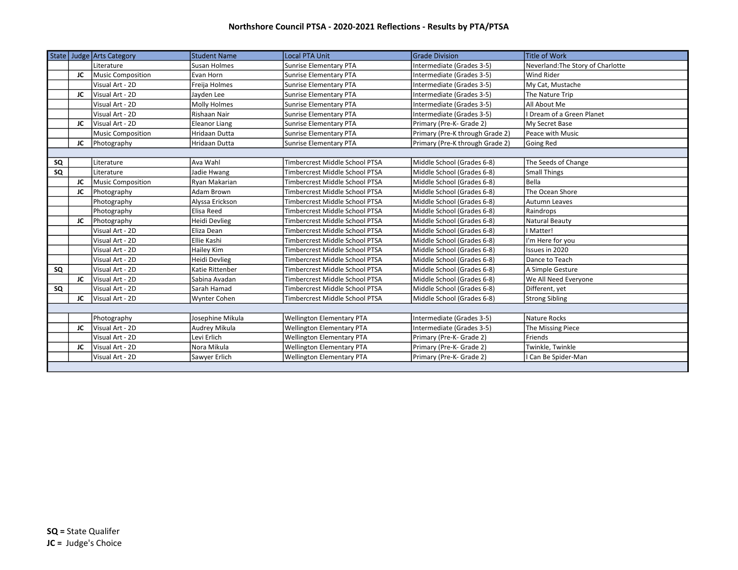|    |    | State Judge Arts Category | <b>Student Name</b>  | <b>Local PTA Unit</b>            | <b>Grade Division</b>           | Title of Work                     |
|----|----|---------------------------|----------------------|----------------------------------|---------------------------------|-----------------------------------|
|    |    | Literature                | Susan Holmes         | <b>Sunrise Elementary PTA</b>    | Intermediate (Grades 3-5)       | Neverland: The Story of Charlotte |
|    | JC | Music Composition         | Evan Horn            | <b>Sunrise Elementary PTA</b>    | Intermediate (Grades 3-5)       | <b>Wind Rider</b>                 |
|    |    | Visual Art - 2D           | Freija Holmes        | Sunrise Elementary PTA           | Intermediate (Grades 3-5)       | My Cat, Mustache                  |
|    | JC | Visual Art - 2D           | Jayden Lee           | Sunrise Elementary PTA           | Intermediate (Grades 3-5)       | The Nature Trip                   |
|    |    | Visual Art - 2D           | Molly Holmes         | <b>Sunrise Elementary PTA</b>    | Intermediate (Grades 3-5)       | All About Me                      |
|    |    | Visual Art - 2D           | Rishaan Nair         | <b>Sunrise Elementary PTA</b>    | Intermediate (Grades 3-5)       | I Dream of a Green Planet         |
|    | JC | Visual Art - 2D           | <b>Eleanor Liang</b> | Sunrise Elementary PTA           | Primary (Pre-K- Grade 2)        | My Secret Base                    |
|    |    | <b>Music Composition</b>  | <b>Hridaan Dutta</b> | <b>Sunrise Elementary PTA</b>    | Primary (Pre-K through Grade 2) | Peace with Music                  |
|    | JC | Photography               | <b>Hridaan Dutta</b> | <b>Sunrise Elementary PTA</b>    | Primary (Pre-K through Grade 2) | Going Red                         |
|    |    |                           |                      |                                  |                                 |                                   |
| SQ |    | Literature                | Ava Wahl             | Timbercrest Middle School PTSA   | Middle School (Grades 6-8)      | The Seeds of Change               |
| SQ |    | Literature                | Jadie Hwang          | Timbercrest Middle School PTSA   | Middle School (Grades 6-8)      | <b>Small Things</b>               |
|    | JC | Music Composition         | Rvan Makarian        | Timbercrest Middle School PTSA   | Middle School (Grades 6-8)      | Bella                             |
|    | JC | Photography               | Adam Brown           | Timbercrest Middle School PTSA   | Middle School (Grades 6-8)      | The Ocean Shore                   |
|    |    | Photography               | Alyssa Erickson      | Timbercrest Middle School PTSA   | Middle School (Grades 6-8)      | Autumn Leaves                     |
|    |    | Photography               | Elisa Reed           | Timbercrest Middle School PTSA   | Middle School (Grades 6-8)      | Raindrops                         |
|    | JC | Photography               | <b>Heidi Devlieg</b> | Timbercrest Middle School PTSA   | Middle School (Grades 6-8)      | Natural Beauty                    |
|    |    | Visual Art - 2D           | Eliza Dean           | Timbercrest Middle School PTSA   | Middle School (Grades 6-8)      | I Matter!                         |
|    |    | Visual Art - 2D           | Ellie Kashi          | Timbercrest Middle School PTSA   | Middle School (Grades 6-8)      | I'm Here for you                  |
|    |    | Visual Art - 2D           | Hailey Kim           | Timbercrest Middle School PTSA   | Middle School (Grades 6-8)      | Issues in 2020                    |
|    |    | Visual Art - 2D           | Heidi Devlieg        | Timbercrest Middle School PTSA   | Middle School (Grades 6-8)      | Dance to Teach                    |
| SQ |    | Visual Art - 2D           | Katie Rittenber      | Timbercrest Middle School PTSA   | Middle School (Grades 6-8)      | A Simple Gesture                  |
|    | JC | Visual Art - 2D           | Sabina Avadan        | Timbercrest Middle School PTSA   | Middle School (Grades 6-8)      | We All Need Everyone              |
| SQ |    | Visual Art - 2D           | Sarah Hamad          | Timbercrest Middle School PTSA   | Middle School (Grades 6-8)      | Different, yet                    |
|    | JC | Visual Art - 2D           | <b>Wynter Cohen</b>  | Timbercrest Middle School PTSA   | Middle School (Grades 6-8)      | <b>Strong Sibling</b>             |
|    |    |                           |                      |                                  |                                 |                                   |
|    |    | Photography               | Josephine Mikula     | <b>Wellington Elementary PTA</b> | Intermediate (Grades 3-5)       | Nature Rocks                      |
|    | JC | Visual Art - 2D           | Audrey Mikula        | <b>Wellington Elementary PTA</b> | Intermediate (Grades 3-5)       | The Missing Piece                 |
|    |    | Visual Art - 2D           | Levi Erlich          | <b>Wellington Elementary PTA</b> | Primary (Pre-K- Grade 2)        | Friends                           |
|    | JC | Visual Art - 2D           | Nora Mikula          | <b>Wellington Elementary PTA</b> | Primary (Pre-K- Grade 2)        | Twinkle, Twinkle                  |
|    |    | Visual Art - 2D           | Sawyer Erlich        | <b>Wellington Elementary PTA</b> | Primary (Pre-K- Grade 2)        | I Can Be Spider-Man               |
|    |    |                           |                      |                                  |                                 |                                   |